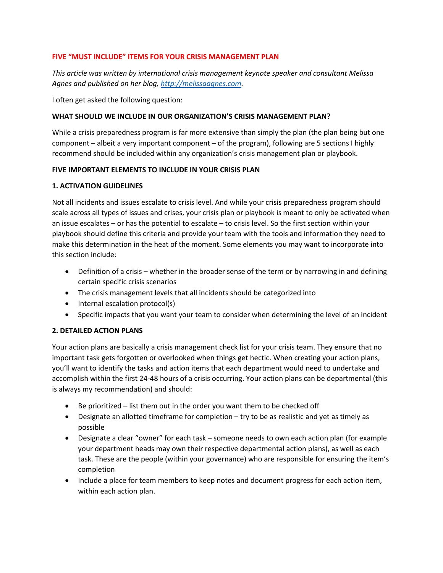### **FIVE "MUST INCLUDE" ITEMS FOR YOUR CRISIS MANAGEMENT PLAN**

*This article was written by international crisis management keynote speaker and consultant Melissa Agnes and published on her blog, [http://melissaagnes.com.](http://melissaagnes.com/)* 

I often get asked the following question:

### **WHAT SHOULD WE INCLUDE IN OUR ORGANIZATION'S CRISIS MANAGEMENT PLAN?**

While a crisis preparedness program is far more extensive than simply the plan (the plan being but one component – albeit a very important component – of the program), following are 5 sections I highly recommend should be included within any organization's crisis management plan or playbook.

#### **FIVE IMPORTANT ELEMENTS TO INCLUDE IN YOUR CRISIS PLAN**

## **1. ACTIVATION GUIDELINES**

Not all incidents and issues escalate to crisis level. And while your crisis preparedness program should scale across all types of issues and crises, your crisis plan or playbook is meant to only be activated when an issue escalates – or has the potential to escalate – to crisis level. So the first section within your playbook should define this criteria and provide your team with the tools and information they need to make this determination in the heat of the moment. Some elements you may want to incorporate into this section include:

- Definition of a crisis whether in the broader sense of the term or by narrowing in and defining certain specific crisis scenarios
- The crisis management levels that all incidents should be categorized into
- Internal escalation protocol(s)
- Specific impacts that you want your team to consider when determining the level of an incident

# **2. DETAILED ACTION PLANS**

Your action plans are basically a crisis management check list for your crisis team. They ensure that no important task gets forgotten or overlooked when things get hectic. When creating your action plans, you'll want to identify the tasks and action items that each department would need to undertake and accomplish within the first 24-48 hours of a crisis occurring. Your action plans can be departmental (this is always my recommendation) and should:

- Be prioritized list them out in the order you want them to be checked off
- Designate an allotted timeframe for completion try to be as realistic and yet as timely as possible
- Designate a clear "owner" for each task someone needs to own each action plan (for example your department heads may own their respective departmental action plans), as well as each task. These are the people (within your governance) who are responsible for ensuring the item's completion
- Include a place for team members to keep notes and document progress for each action item, within each action plan.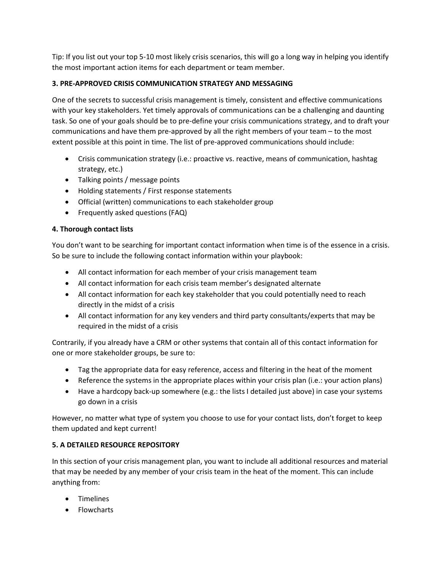Tip: If you list out your top 5-10 most likely crisis scenarios, this will go a long way in helping you identify the most important action items for each department or team member.

# **3. PRE-APPROVED CRISIS COMMUNICATION STRATEGY AND MESSAGING**

One of the secrets to successful crisis management is timely, consistent and effective communications with your key stakeholders. Yet timely approvals of communications can be a challenging and daunting task. So one of your goals should be to pre-define your crisis communications strategy, and to draft your communications and have them pre-approved by all the right members of your team – to the most extent possible at this point in time. The list of pre-approved communications should include:

- Crisis communication strategy (i.e.: proactive vs. reactive, means of communication, hashtag strategy, etc.)
- Talking points / message points
- Holding statements / First response statements
- Official (written) communications to each stakeholder group
- Frequently asked questions (FAQ)

# **4. Thorough contact lists**

You don't want to be searching for important contact information when time is of the essence in a crisis. So be sure to include the following contact information within your playbook:

- All contact information for each member of your crisis management team
- All contact information for each crisis team member's designated alternate
- All contact information for each key stakeholder that you could potentially need to reach directly in the midst of a crisis
- All contact information for any key venders and third party consultants/experts that may be required in the midst of a crisis

Contrarily, if you already have a CRM or other systems that contain all of this contact information for one or more stakeholder groups, be sure to:

- Tag the appropriate data for easy reference, access and filtering in the heat of the moment
- Reference the systems in the appropriate places within your crisis plan (i.e.: your action plans)
- $\bullet$  Have a hardcopy back-up somewhere (e.g.: the lists I detailed just above) in case your systems go down in a crisis

However, no matter what type of system you choose to use for your contact lists, don't forget to keep them updated and kept current!

# **5. A DETAILED RESOURCE REPOSITORY**

In this section of your crisis management plan, you want to include all additional resources and material that may be needed by any member of your crisis team in the heat of the moment. This can include anything from:

- Timelines
- Flowcharts